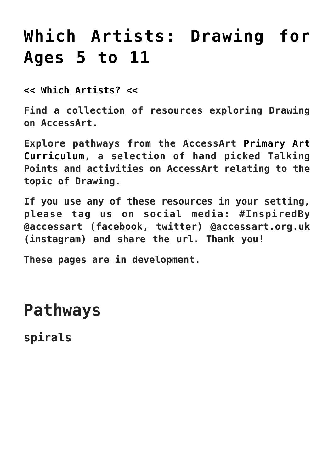# **[Which Artists: Drawing for](https://www.accessart.org.uk/which-artists-drawing-5-11/) [Ages 5 to 11](https://www.accessart.org.uk/which-artists-drawing-5-11/)**

**[<< Which Artists? <<](https://www.accessart.org.uk/which-artists/)**

**Find a collection of resources exploring Drawing on AccessArt.**

**Explore pathways from the AccessArt [Primary Art](https://www.accessart.org.uk/primary-art-curriculum/) [Curriculum,](https://www.accessart.org.uk/primary-art-curriculum/) a selection of hand picked Talking Points and activities on AccessArt relating to the topic of Drawing.**

**If you use any of these resources in your setting, please tag us on social media: #InspiredBy @accessart (facebook, twitter) @accessart.org.uk (instagram) and share the url. Thank you!**

**These pages are in development.**

**Pathways**

**spirals**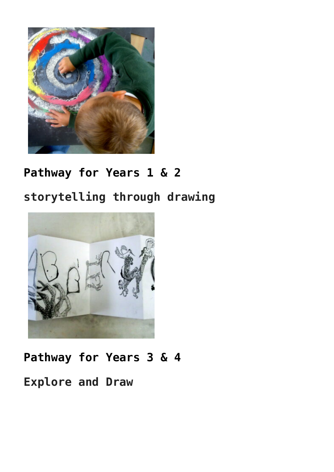

#### **[Pathway for Years 1 & 2](https://www.accessart.org.uk/spirals/)**

### **storytelling through drawing**



## **[Pathway for Years 3 & 4](https://www.accessart.org.uk/storytelling-through-drawing/) Explore and Draw**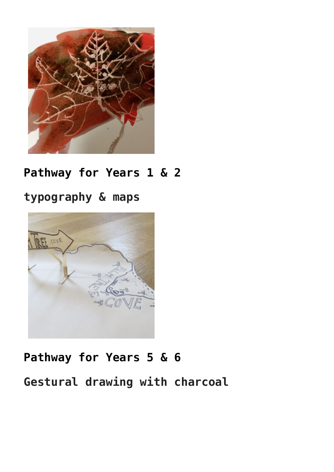

#### **[Pathway for Years 1 & 2](https://www.accessart.org.uk/explore-draw/)**

#### **typography & maps**



## **[Pathway for Years 5 & 6](https://www.accessart.org.uk/typography-and-maps/)**

#### **Gestural drawing with charcoal**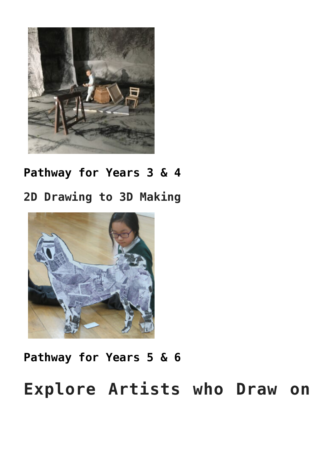

#### **[Pathway for Years 3 & 4](https://www.accessart.org.uk/gestural-drawing-with-charcoal/)**

#### **2D Drawing to 3D Making**



#### **[Pathway for Years 5 & 6](https://www.accessart.org.uk/2d-drawing-to-3d-making/)**

## **Explore Artists who Draw on**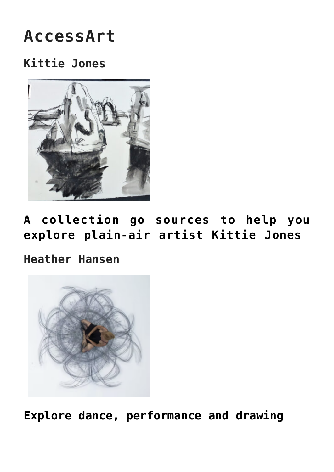## **AccessArt**

#### **Kittie Jones**



**[A collection go sources to help you](https://www.accessart.org.uk/talking-points-kittie-jones/) [explore plain-air artist Kittie Jones](https://www.accessart.org.uk/talking-points-kittie-jones/)**

**Heather Hansen**



**[Explore dance, performance and drawing](https://www.accessart.org.uk/talking-points-art-as-performance-heather-hansen/)**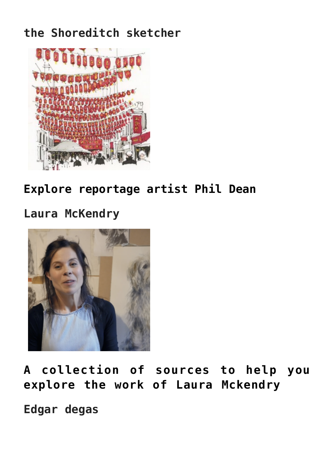### **the Shoreditch sketcher**



### **[Explore reportage artist Phil Dean](https://www.accessart.org.uk/talking-points-shoreditch-sketcher/)**

#### **Laura McKendry**



**[A collection of sources to help you](https://www.accessart.org.uk/talking-points-laura-mckendry/) [explore the work of Laura Mckendry](https://www.accessart.org.uk/talking-points-laura-mckendry/)**

**Edgar degas**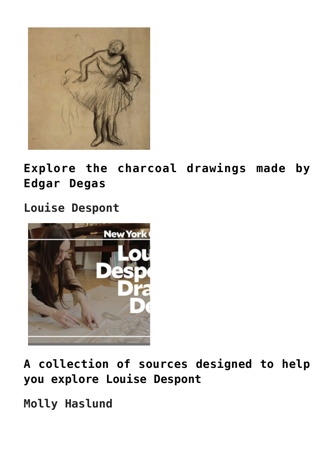

**[Explore the charcoal drawings made by](https://www.accessart.org.uk/talking-points-charcoal-drawings-by-degas/) [Edgar Degas](https://www.accessart.org.uk/talking-points-charcoal-drawings-by-degas/)**

#### **Louise Despont**



**[A collection of sources designed to help](https://www.accessart.org.uk/talking-points-louise-despont/) [you explore Louise Despont](https://www.accessart.org.uk/talking-points-louise-despont/)**

**Molly Haslund**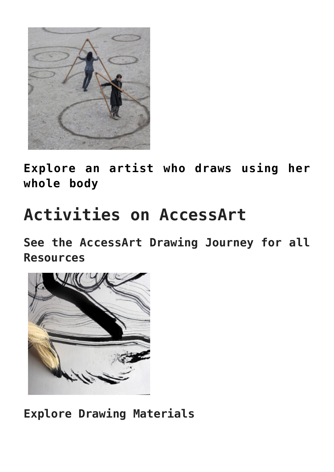

**[Explore an artist who draws using her](https://www.accessart.org.uk/talking-points-molly-haslund/) [whole body](https://www.accessart.org.uk/talking-points-molly-haslund/)**

# **Activities on AccessArt**

**See the AccessArt Drawing Journey for all Resources**



**Explore Drawing Materials**